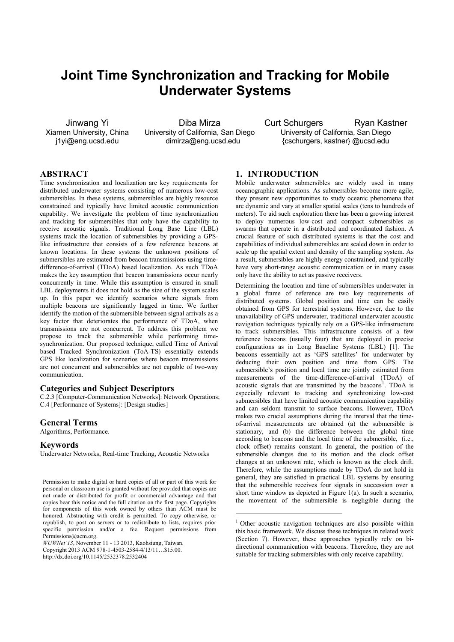# **Joint Time Synchronization and Tracking for Mobile Underwater Systems**

Jinwang Yi Xiamen University, China j1yi@eng.ucsd.edu

Diba Mirza University of California, San Diego dimirza@eng.ucsd.edu

Curt Schurgers Ryan Kastner University of California, San Diego {cschurgers, kastner} @ucsd.edu

# **ABSTRACT**

Time synchronization and localization are key requirements for distributed underwater systems consisting of numerous low-cost submersibles. In these systems, submersibles are highly resource constrained and typically have limited acoustic communication capability. We investigate the problem of time synchronization and tracking for submersibles that only have the capability to receive acoustic signals. Traditional Long Base Line (LBL) systems track the location of submersibles by providing a GPSlike infrastructure that consists of a few reference beacons at known locations. In these systems the unknown positions of submersibles are estimated from beacon transmissions using timedifference-of-arrival (TDoA) based localization. As such TDoA makes the key assumption that beacon transmissions occur nearly concurrently in time. While this assumption is ensured in small LBL deployments it does not hold as the size of the system scales up. In this paper we identify scenarios where signals from multiple beacons are significantly lagged in time. We further identify the motion of the submersible between signal arrivals as a key factor that deteriorates the performance of TDoA, when transmissions are not concurrent. To address this problem we propose to track the submersible while performing timesynchronization. Our proposed technique, called Time of Arrival based Tracked Synchronization (ToA-TS) essentially extends GPS like localization for scenarios where beacon transmissions are not concurrent and submersibles are not capable of two-way communication.

## **Categories and Subject Descriptors**

C.2.3 [Computer-Communication Networks]: Network Operations; C.4 [Performance of Systems]: [Design studies]

## **General Terms**

Algorithms, Performance.

#### **Keywords**

Underwater Networks, Real-time Tracking, Acoustic Networks

# **1. INTRODUCTION**

Mobile underwater submersibles are widely used in many oceanographic applications. As submersibles become more agile, they present new opportunities to study oceanic phenomena that are dynamic and vary at smaller spatial scales (tens to hundreds of meters). To aid such exploration there has been a growing interest to deploy numerous low-cost and compact submersibles as swarms that operate in a distributed and coordinated fashion. A crucial feature of such distributed systems is that the cost and capabilities of individual submersibles are scaled down in order to scale up the spatial extent and density of the sampling system. As a result, submersibles are highly energy constrained, and typically have very short-range acoustic communication or in many cases only have the ability to act as passive receivers.

Determining the location and time of submersibles underwater in a global frame of reference are two key requirements of distributed systems. Global position and time can be easily obtained from GPS for terrestrial systems. However, due to the unavailability of GPS underwater, traditional underwater acoustic navigation techniques typically rely on a GPS-like infrastructure to track submersibles. This infrastructure consists of a few reference beacons (usually four) that are deployed in precise configurations as in Long Baseline Systems (LBL) [1]. The beacons essentially act as 'GPS satellites' for underwater by deducing their own position and time from GPS. The submersible's position and local time are jointly estimated from measurements of the time-difference-of-arrival (TDoA) of acoustic signals that are transmitted by the beacons<sup>1</sup>. TDoA is especially relevant to tracking and synchronizing low-cost submersibles that have limited acoustic communication capability and can seldom transmit to surface beacons. However, TDoA makes two crucial assumptions during the interval that the timeof-arrival measurements are obtained (a) the submersible is stationary, and (b) the difference between the global time according to beacons and the local time of the submersible, (i.e., clock offset) remains constant. In general, the position of the submersible changes due to its motion and the clock offset changes at an unknown rate, which is known as the clock drift. Therefore, while the assumptions made by TDoA do not hold in general, they are satisfied in practical LBL systems by ensuring that the submersible receives four signals in succession over a short time window as depicted in Figure 1(a). In such a scenario, the movement of the submersible is negligible during the

<u>.</u>

Permission to make digital or hard copies of all or part of this work for personal or classroom use is granted without fee provided that copies are not made or distributed for profit or commercial advantage and that copies bear this notice and the full citation on the first page. Copyrights for components of this work owned by others than ACM must be honored. Abstracting with credit is permitted. To copy otherwise, or republish, to post on servers or to redistribute to lists, requires prior specific permission and/or a fee. Request permissions from Permissions@acm.org.

*WUWNet'13*, November 11 - 13 2013, Kaohsiung, Taiwan. Copyright 2013 ACM 978-1-4503-2584-4/13/11…\$15.00. http://dx.doi.org/10.1145/2532378.2532404

<sup>&</sup>lt;sup>1</sup> Other acoustic navigation techniques are also possible within this basic framework. We discuss these techniques in related work (Section 7). However, these approaches typically rely on bidirectional communication with beacons. Therefore, they are not suitable for tracking submersibles with only receive capability.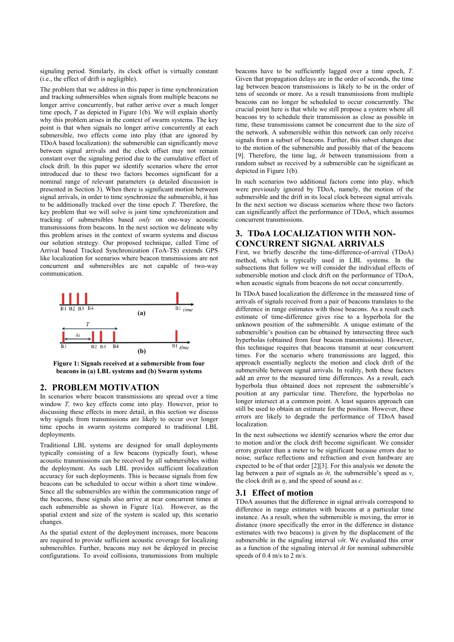signaling period. Similarly, its clock offset is virtually constant (i.e., the effect of drift is negligible).

The problem that we address in this paper is time synchronization and tracking submersibles when signals from multiple beacons no longer arrive concurrently, but rather arrive over a much longer time epoch, *T* as depicted in Figure 1(b). We will explain shortly why this problem arises in the context of swarm systems. The key point is that when signals no longer arrive concurrently at each submersible, two effects come into play (that are ignored by TDoA based localization): the submersible can significantly move between signal arrivals and the clock offset may not remain constant over the signaling period due to the cumulative effect of clock drift. In this paper we identify scenarios where the error introduced due to these two factors becomes significant for a nominal range of relevant parameters (a detailed discussion is presented in Section 3). When there is significant motion between signal arrivals, in order to time synchronize the submersible, it has to be additionally tracked over the time epoch *T.* Therefore, the key problem that we will solve is joint time synchronization and tracking of submersibles based *only* on one-way acoustic transmissions from beacons. In the next section we delineate why this problem arises in the context of swarm systems and discuss our solution strategy. Our proposed technique, called Time of Arrival based Tracked Synchronization (ToA-TS) extends GPS like localization for scenarios where beacon transmissions are not concurrent and submersibles are not capable of two-way communication.



**Figure 1: Signals received at a submersible from four beacons in (a) LBL systems and (b) Swarm systems** 

# **2. PROBLEM MOTIVATION**

In scenarios where beacon transmissions are spread over a time window *T,* two key effects come into play. However, prior to discussing these effects in more detail, in this section we discuss why signals from transmissions are likely to occur over longer time epochs in swarm systems compared to traditional LBL deployments.

Traditional LBL systems are designed for small deployments typically consisting of a few beacons (typically four), whose acoustic transmissions can be received by all submersibles within the deployment. As such LBL provides sufficient localization accuracy for such deployments. This is because signals from few beacons can be scheduled to occur within a short time window. Since all the submersibles are within the communication range of the beacons, these signals also arrive at near concurrent times at each submersible as shown in Figure 1(a). However, as the spatial extent and size of the system is scaled up, this scenario changes.

As the spatial extent of the deployment increases, more beacons are required to provide sufficient acoustic coverage for localizing submersibles. Further, beacons may not be deployed in precise configurations. To avoid collisions, transmissions from multiple

beacons have to be sufficiently lagged over a time epoch, *T*. Given that propagation delays are in the order of seconds, the time lag between beacon transmissions is likely to be in the order of tens of seconds or more. As a result transmissions from multiple beacons can no longer be scheduled to occur concurrently. The crucial point here is that while we still propose a system where all beacons try to schedule their transmission as close as possible in time, these transmissions cannot be concurrent due to the size of the network. A submersible within this network can only receive signals from a subset of beacons. Further, this subset changes due to the motion of the submersible and possibly that of the beacons [9]. Therefore, the time lag, *δt* between transmissions from a random subset as received by a submersible can be significant as depicted in Figure 1(b).

In such scenarios two additional factors come into play, which were previously ignored by TDoA, namely, the motion of the submersible and the drift in its local clock between signal arrivals. In the next section we discuss scenarios where these two factors can significantly affect the performance of TDoA, which assumes concurrent transmissions.

# **3. TDoA LOCALIZATION WITH NON-CONCURRENT SIGNAL ARRIVALS**

First, we briefly describe the time-difference-of-arrival (TDoA) method, which is typically used in LBL systems. In the subsections that follow we will consider the individual effects of submersible motion and clock drift on the performance of TDoA, when acoustic signals from beacons do not occur concurrently.

In TDoA based localization the difference in the measured time of arrivals of signals received from a pair of beacons translates to the difference in range estimates with those beacons. As a result each estimate of time-difference gives rise to a hyperbola for the unknown position of the submersible. A unique estimate of the submersible's position can be obtained by intersecting three such hyperbolas (obtained from four beacon transmissions). However, this technique requires that beacons transmit at near concurrent times. For the scenario where transmissions are lagged, this approach essentially neglects the motion and clock drift of the submersible between signal arrivals. In reality, both these factors add an error to the measured time differences. As a result, each hyperbola thus obtained does not represent the submersible's position at any particular time. Therefore, the hyperbolas no longer intersect at a common point. A least squares approach can still be used to obtain an estimate for the position. However, these errors are likely to degrade the performance of TDoA based localization.

In the next subsections we identify scenarios where the error due to motion and/or the clock drift become significant. We consider errors greater than a meter to be significant because errors due to noise, surface reflections and refraction and even hardware are expected to be of that order [2][3]. For this analysis we denote the lag between a pair of signals as  $\delta t$ , the submersible's speed as *v*. the clock drift as *η*, and the speed of sound as *c.*

#### **3.1 Effect of motion**

TDoA assumes that the difference in signal arrivals correspond to difference in range estimates with beacons at a particular time instance. As a result, when the submersible is moving, the error in distance (more specifically the error in the difference in distance estimates with two beacons) is given by the displacement of the submersible in the signaling interval *vδt*. We evaluated this error as a function of the signaling interval *δt* for nominal submersible speeds of 0.4 m/s to 2 m/s.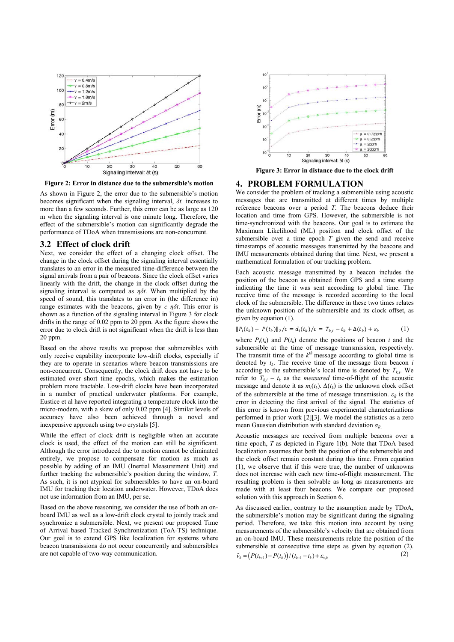

**Figure 2: Error in distance due to the submersible's motion** 

As shown in Figure 2, the error due to the submersible's motion becomes significant when the signaling interval, *δt,* increases to more than a few seconds. Further, this error can be as large as 120 m when the signaling interval is one minute long. Therefore, the effect of the submersible's motion can significantly degrade the performance of TDoA when transmissions are non-concurrent.

#### **3.2 Effect of clock drift**

Next, we consider the effect of a changing clock offset. The change in the clock offset during the signaling interval essentially translates to an error in the measured time-difference between the signal arrivals from a pair of beacons. Since the clock offset varies linearly with the drift, the change in the clock offset during the signaling interval is computed as *ηδt*. When multiplied by the speed of sound, this translates to an error in (the difference in) range estimates with the beacons, given by *c ηδt*. This error is shown as a function of the signaling interval in Figure 3 for clock drifts in the range of 0.02 ppm to 20 ppm. As the figure shows the error due to clock drift is not significant when the drift is less than 20 ppm.

Based on the above results we propose that submersibles with only receive capability incorporate low-drift clocks, especially if they are to operate in scenarios where beacon transmissions are non-concurrent. Consequently, the clock drift does not have to be estimated over short time epochs, which makes the estimation problem more tractable. Low-drift clocks have been incorporated in a number of practical underwater platforms. For example, Eustice et al have reported integrating a temperature clock into the micro-modem, with a skew of only 0.02 ppm [4]. Similar levels of accuracy have also been achieved through a novel and inexpensive approach using two crystals [5].

While the effect of clock drift is negligible when an accurate clock is used, the effect of the motion can still be significant. Although the error introduced due to motion cannot be eliminated entirely, we propose to compensate for motion as much as possible by adding of an IMU (Inertial Measurement Unit) and further tracking the submersible's position during the window, *T*. As such, it is not atypical for submersibles to have an on-board IMU for tracking their location underwater. However, TDoA does not use information from an IMU, per se.

Based on the above reasoning, we consider the use of both an onboard IMU as well as a low-drift clock crystal to jointly track and synchronize a submersible. Next, we present our proposed Time of Arrival based Tracked Synchronization (ToA-TS) technique. Our goal is to extend GPS like localization for systems where beacon transmissions do not occur concurrently and submersibles are not capable of two-way communication.



**Figure 3: Error in distance due to the clock drift** 

#### **4. PROBLEM FORMULATION**

We consider the problem of tracking a submersible using acoustic messages that are transmitted at different times by multiple reference beacons over a period *T*. The beacons deduce their location and time from GPS. However, the submersible is not time-synchronized with the beacons. Our goal is to estimate the Maximum Likelihood (ML) position and clock offset of the submersible over a time epoch *T* given the send and receive timestamps of acoustic messages transmitted by the beacons and IMU measurements obtained during that time. Next, we present a mathematical formulation of our tracking problem.

Each acoustic message transmitted by a beacon includes the position of the beacon as obtained from GPS and a time stamp indicating the time it was sent according to global time. The receive time of the message is recorded according to the local clock of the submersible. The difference in these two times relates the unknown position of the submersible and its clock offset, as given by equation (1).

$$
||P_i(t_k) - P(t_k)||_2/c = d_i(t_k)/c = T_{k,i} - t_k + \Delta(t_k) + \varepsilon_k
$$
 (1)

where  $P_i(t_k)$  and  $P(t_k)$  denote the positions of beacon *i* and the submersible at the time of message transmission, respectively. The transmit time of the  $k^{th}$  message according to global time is denoted by  $t_k$ . The receive time of the message from beacon  $i$ according to the submersible's local time is denoted by  $T_{ki}$ . We refer to  $T_{ki} - t_k$  as the *measured* time-of-flight of the acoustic message and denote it as  $m_i(t_k)$ .  $\Delta(t_k)$  is the unknown clock offset of the submersible at the time of message transmission.  $\varepsilon_k$  is the error in detecting the first arrival of the signal. The statistics of this error is known from previous experimental characterizations performed in prior work [2][3]. We model the statistics as a zero mean Gaussian distribution with standard deviation *σR*.

Acoustic messages are received from multiple beacons over a time epoch, *T* as depicted in Figure 1(b)*.* Note that TDoA based localization assumes that both the position of the submersible and the clock offset remain constant during this time. From equation (1), we observe that if this were true, the number of unknowns does not increase with each new time-of-flight measurement. The resulting problem is then solvable as long as measurements are made with at least four beacons. We compare our proposed solution with this approach in Section 6.

As discussed earlier, contrary to the assumption made by TDoA, the submersible's motion may be significant during the signaling period. Therefore, we take this motion into account by using measurements of the submersible's velocity that are obtained from an on-board IMU. These measurements relate the position of the submersible at consecutive time steps as given by equation (2).

$$
\tilde{v}_{k} = (P(t_{k+1}) - P(t_{k})) / (t_{k+1} - t_{k}) + \varepsilon_{v,k}
$$
\n(2)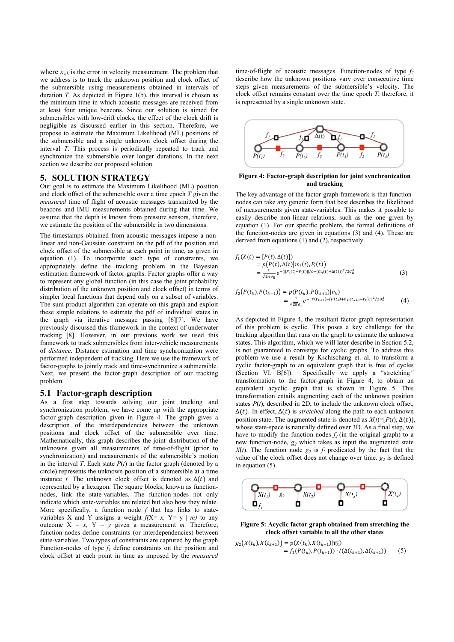where  $\varepsilon_{v,k}$  is the error in velocity measurement. The problem that we address is to track the unknown position and clock offset of the submersible using measurements obtained in intervals of duration *T*. As depicted in Figure 1(b), this interval is chosen as the minimum time in which acoustic messages are received from at least four unique beacons. Since our solution is aimed for submersibles with low-drift clocks, the effect of the clock drift is negligible as discussed earlier in this section. Therefore, we propose to estimate the Maximum Likelihood (ML) positions of the submersible and a single unknown clock offset during the interval *T*. This process is periodically repeated to track and synchronize the submersible over longer durations. In the next section we describe our proposed solution.

#### **5. SOLUTION STRATEGY**

Our goal is to estimate the Maximum Likelihood (ML) position and clock offset of the submersible over a time epoch *T* given the *measured* time of flight of acoustic messages transmitted by the beacons and IMU measurements obtained during that time. We assume that the depth is known from pressure sensors, therefore, we estimate the position of the submersible in two dimensions.

The timestamps obtained from acoustic messages impose a nonlinear and non-Gaussian constraint on the pdf of the position and clock offset of the submersible at each point in time, as given in equation (1). To incorporate such type of constraints, we appropriately define the tracking problem in the Bayesian estimation framework of factor-graphs. Factor graphs offer a way to represent any global function (in this case the joint probability distribution of the unknown position and clock offset) in terms of simpler local functions that depend only on a subset of variables. The sum-product algorithm can operate on this graph and exploit these simple relations to estimate the pdf of individual states in the graph via iterative message passing [6][7]. We have previously discussed this framework in the context of underwater tracking [8]. However, in our previous work we used this framework to track submersibles from inter-vehicle measurements of *distance*. Distance estimation and time synchronization were performed independent of tracking. Here we use the framework of factor-graphs to jointly track and time-synchronize a submersible. Next, we present the factor-graph description of our tracking problem.

#### **5.1 Factor-graph description**

As a first step towards solving our joint tracking and synchronization problem, we have come up with the appropriate factor-graph description given in Figure 4. The graph gives a description of the interdependencies between the unknown positions and clock offset of the submersible over time. Mathematically, this graph describes the joint distribution of the unknowns given all measurements of time-of-flight (prior to synchronization) and measurements of the submersible's motion in the interval *T*. Each state  $P(t)$  in the factor graph (denoted by a circle) represents the unknown position of a submersible at a time instance *t*. The unknown clock offset is denoted as  $\Delta(t)$  and represented by a hexagon. The square blocks, known as functionnodes, link the state-variables. The function-nodes not only indicate which state-variables are related but also how they relate. More specifically, a function node  $f$  that has links to statevariables X and Y assigns a weight  $f(X= x, Y= y \mid m)$  to any outcome  $X = x$ ,  $Y = y$  given a measurement *m*. Therefore, function-nodes define constraints (or interdependencies) between state-variables. Two types of constraints are captured by the graph. Function-nodes of type  $f_1$  define constraints on the position and clock offset at each point in time as imposed by the *measured*

time-of-flight of acoustic messages. Function-nodes of type  $f_2$ describe how the unknown positions vary over consecutive time steps given measurements of the submersible's velocity. The clock offset remains constant over the time epoch *T*, therefore, it is represented by a single unknown state.



**Figure 4: Factor-graph description for joint synchronization and tracking** 

The key advantage of the factor-graph framework is that functionnodes can take any generic form that best describes the likelihood of measurements given state-variables. This makes it possible to easily describe non-linear relations, such as the one given by equation (1). For our specific problem, the formal definitions of the function-nodes are given in equations (3) and (4). These are derived from equations (1) and (2), respectively.

$$
f_1(X(t)) = [P(t), \Delta(t)]
$$
  
=  $p(P(t), \Delta(t)|m_i(t), P_i(t))$   
=  $\frac{1}{\sqrt{2\pi}\sigma_R}e^{-(||P_i(t)-P(t)||/c - (m_i(t)+\Delta(t)))^2/2\sigma_R^2}$  (3)

$$
f_2(P(t_k), P(t_{k+1})) = p(P(t_k), P(t_{k+1}) | \overline{v_k})
$$
  
= 
$$
\frac{1}{\sqrt{2\pi}\sigma_v} e^{-\|P(t_{k+1}) - (P(t_k) + \overline{v_k} \cdot (t_{k+1} - t_k))\|^2 / 2\sigma_v^2}
$$
 (4)

As depicted in Figure 4, the resultant factor-graph representation of this problem is cyclic. This poses a key challenge for the tracking algorithm that runs on the graph to estimate the unknown states. This algorithm, which we will later describe in Section 5.2, is not guaranteed to converge for cyclic graphs. To address this problem we use a result by Kschischang et. al. to transform a cyclic factor-graph to an equivalent graph that is free of cycles (Section VI. B[6]). Specifically we apply a "stretching" Specifically we apply a "stretching" transformation to the factor-graph in Figure 4, to obtain an equivalent acyclic graph that is shown in Figure 5. This transformation entails augmenting each of the unknown position states  $P(t)$ , described in 2D, to include the unknown clock offset,  $\Delta(t)$ . In effect,  $\Delta(t)$  is *stretched* along the path to each unknown position state. The augmented state is denoted as  $X(t)=[P(t), \Delta(t)]$ , whose state-space is naturally defined over 3D. As a final step, we have to modify the function-nodes  $f_2$  (in the original graph) to a new function-node, *g2* which takes as input the augmented state *X*(*t*). The function node  $g_2$  is  $f_2$  predicated by the fact that the value of the clock offset does not change over time.  $g_2$  is defined in equation (5).



**Figure 5: Acyclic factor graph obtained from stretching the clock offset variable to all the other states** 

$$
g_2(X(t_k), X(t_{k+1})) = p(X(t_k), X(t_{k+1}) | \overline{v_k})
$$
  
= f\_2(P(t\_k), P(t\_{k+1})) \cdot I(\Delta(t\_{k+1}), \Delta(t\_{k+1})) (5)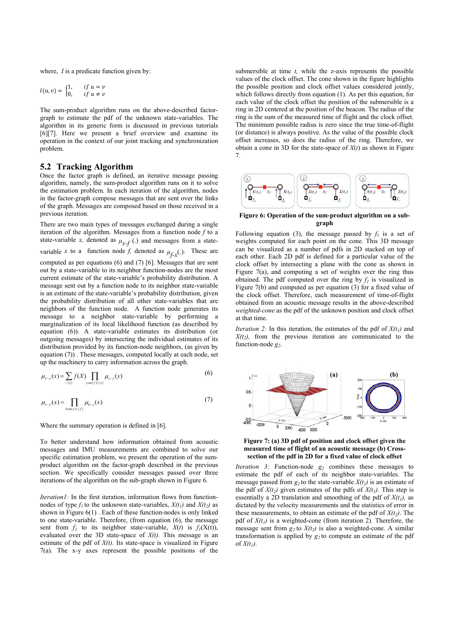where, *I* is a predicate function given by:

$$
I(u,v) = \begin{cases} 1, & \text{if } u = v \\ 0, & \text{if } u \neq v \end{cases}
$$

The sum-product algorithm runs on the above-described factorgraph to estimate the pdf of the unknown state-variables. The algorithm in its generic form is discussed in previous tutorials [6][7]. Here we present a brief overview and examine its operation in the context of our joint tracking and synchronization problem.

#### **5.2 Tracking Algorithm**

Once the factor graph is defined, an iterative message passing algorithm, namely, the sum-product algorithm runs on it to solve the estimation problem. In each iteration of the algorithm, nodes in the factor-graph compose messages that are sent over the links of the graph. Messages are composed based on those received in a previous iteration.

There are two main types of messages exchanged during a single iteration of the algorithm. Messages from a function node *f* to a state-variable *x*, denoted as  $\mu_{x-f}$  (.) and messages from a statevariable *x* to a function node *f*, denoted as  $\mu_{f.x}(.)$ . These are computed as per equations (6) and (7) [6]. Messages that are sent out by a state-variable to its neighbor function-nodes are the most current estimate of the state-variable's probability distribution. A message sent out by a function node to its neighbor state-variable is an estimate of the state-variable's probability distribution, given the probability distribution of all other state-variables that are neighbors of the function node. A function node generates its message to a neighbor state-variable by performing a marginalization of its local likelihood function (as described by equation (6)). A state-variable estimates its distribution (or outgoing messages) by intersecting the individual estimates of its distribution provided by its function-node neighbors, (as given by equation (7)) . These messages, computed locally at each node, set up the machinery to carry information across the graph.

$$
\mu_{f-x}(x) = \sum_{\{x\}} f(X) \prod_{y \in H(f) \setminus \{x\}} \mu_{y-f}(y) \tag{6}
$$

$$
\mu_{x-f}(x) = \prod_{h \in n(x) \setminus \{f\}} \mu_{h-x}(x) \tag{7}
$$

Where the summary operation is defined in [6].

To better understand how information obtained from acoustic messages and IMU measurements are combined to solve our specific estimation problem, we present the operation of the sumproduct algorithm on the factor-graph described in the previous section. We specifically consider messages passed over three iterations of the algorithm on the sub-graph shown in Figure 6.

*Iteration1:* In the first iteration, information flows from functionnodes of type  $f_1$  to the unknown state-variables,  $X(t_1)$  and  $X(t_2)$  as shown in Figure 6(1) . Each of these function-nodes is only linked to one state-variable. Therefore, (from equation (6), the message sent from  $f_1$  to its neighbor state-variable,  $X(t)$  is  $f_1(X(t))$ , evaluated over the 3D state-space of *X(t).* This message is an estimate of the pdf of  $X(t)$ . Its state-space is visualized in Figure 7(a). The x-y axes represent the possible positions of the

submersible at time *t,* while the z-axis represents the possible values of the clock offset. The cone shown in the figure highlights the possible position and clock offset values considered jointly, which follows directly from equation (1). As per this equation, for each value of the clock offset the position of the submersible is a ring in 2D centered at the position of the beacon. The radius of the ring is the sum of the measured time of flight and the clock offset. The minimum possible radius is zero since the true time-of-flight (or distance) is always positive. As the value of the possible clock offset increases, so does the radius of the ring. Therefore, we obtain a cone in 3D for the state-space of  $X(t)$  as shown in Figure 7.



**Figure 6: Operation of the sum-product algorithm on a subgraph** 

Following equation (3), the message passed by  $f_1$  is a set of weights computed for each point on the cone. This 3D message can be visualized as a number of pdfs in 2D stacked on top of each other. Each 2D pdf is defined for a particular value of the clock offset by intersecting a plane with the cone as shown in Figure 7(a), and computing a set of weights over the ring thus obtained. The pdf computed over the ring by  $f_l$  is visualized in Figure 7(b) and computed as per equation (3) for a fixed value of the clock offset. Therefore, each measurement of time-of-flight obtained from an acoustic message results in the above-described *weighted-cone* as the pdf of the unknown position and clock offset at that time.

*Iteration 2:* In this iteration, the estimates of the pdf of  $X(t_1)$  and  $X(t<sub>2</sub>)$ , from the previous iteration are communicated to the function-node  $g_2$ .



#### **Figure 7: (a) 3D pdf of position and clock offset given the measured time of flight of an acoustic message (b) Crosssection of the pdf in 2D for a fixed value of clock offset**

*Iteration 3:* Function-node  $g_2$  combines these messages to estimate the pdf of each of its neighbor state-variables. The message passed from  $g_2$  to the state-variable  $X(t_2)$  is an estimate of the pdf of  $X(t_2)$  given estimates of the pdfs of  $X(t_1)$ . This step is essentially a 2D translation and smoothing of the pdf of  $X(t_1)$ , as dictated by the velocity measurements and the statistics of error in these measurements, to obtain an estimate of the pdf of  $X(t_2)$ . The pdf of  $X(t_1)$  is a weighted-cone (from iteration 2). Therefore, the message sent from  $g_2$  to  $X(t_2)$  is also a weighted-cone. A similar transformation is applied by  $g_2$  to compute an estimate of the pdf of  $X(t_1)$ .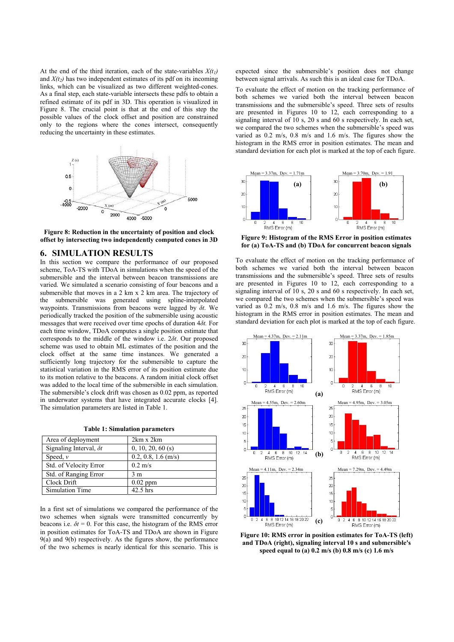At the end of the third iteration, each of the state-variables  $X(t_1)$ and  $X(t_2)$  has two independent estimates of its pdf on its incoming links, which can be visualized as two different weighted-cones. As a final step, each state-variable intersects these pdfs to obtain a refined estimate of its pdf in 3D. This operation is visualized in Figure 8. The crucial point is that at the end of this step the possible values of the clock offset and position are constrained only to the regions where the cones intersect, consequently reducing the uncertainty in these estimates.



**Figure 8: Reduction in the uncertainty of position and clock offset by intersecting two independently computed cones in 3D** 

## **6. SIMULATION RESULTS**

In this section we compare the performance of our proposed scheme, ToA-TS with TDoA in simulations when the speed of the submersible and the interval between beacon transmissions are varied. We simulated a scenario consisting of four beacons and a submersible that moves in a 2 km x 2 km area. The trajectory of the submersible was generated using spline-interpolated waypoints. Transmissions from beacons were lagged by *δt*. We periodically tracked the position of the submersible using acoustic messages that were received over time epochs of duration 4*δt.* For each time window, TDoA computes a single position estimate that corresponds to the middle of the window i.e. 2*δt*. Our proposed scheme was used to obtain ML estimates of the position and the clock offset at the same time instances. We generated a sufficiently long trajectory for the submersible to capture the statistical variation in the RMS error of its position estimate due to its motion relative to the beacons. A random initial clock offset was added to the local time of the submersible in each simulation. The submersible's clock drift was chosen as 0.02 ppm, as reported in underwater systems that have integrated accurate clocks [4]. The simulation parameters are listed in Table 1.

**Table 1: Simulation parameters** 

| Area of deployment             | $2km \times 2km$      |
|--------------------------------|-----------------------|
| Signaling Interval, $\delta t$ | $0, 10, 20, 60$ (s)   |
| Speed, $\nu$                   | $0.2, 0.8, 1.6$ (m/s) |
| Std. of Velocity Error         | $0.2 \text{ m/s}$     |
| Std. of Ranging Error          | 3 <sub>m</sub>        |
| Clock Drift                    | $0.02$ ppm            |
| Simulation Time                | 42.5 hrs              |

In a first set of simulations we compared the performance of the two schemes when signals were transmitted concurrently by beacons i.e.  $\delta t = 0$ . For this case, the histogram of the RMS error in position estimates for ToA-TS and TDoA are shown in Figure 9(a) and 9(b) respectively. As the figures show, the performance of the two schemes is nearly identical for this scenario. This is expected since the submersible's position does not change between signal arrivals. As such this is an ideal case for TDoA.

To evaluate the effect of motion on the tracking performance of both schemes we varied both the interval between beacon transmissions and the submersible's speed. Three sets of results are presented in Figures 10 to 12, each corresponding to a signaling interval of 10 s, 20 s and 60 s respectively. In each set, we compared the two schemes when the submersible's speed was varied as 0.2 m/s, 0.8 m/s and 1.6 m/s. The figures show the histogram in the RMS error in position estimates. The mean and standard deviation for each plot is marked at the top of each figure.



**Figure 9: Histogram of the RMS Error in position estimates for (a) ToA-TS and (b) TDoA for concurrent beacon signals**

To evaluate the effect of motion on the tracking performance of both schemes we varied both the interval between beacon transmissions and the submersible's speed. Three sets of results are presented in Figures 10 to 12, each corresponding to a signaling interval of 10 s, 20 s and 60 s respectively. In each set, we compared the two schemes when the submersible's speed was varied as 0.2 m/s, 0.8 m/s and 1.6 m/s. The figures show the histogram in the RMS error in position estimates. The mean and standard deviation for each plot is marked at the top of each figure.



**Figure 10: RMS error in position estimates for ToA-TS (left) and TDoA (right), signaling interval 10 s and submersible's speed equal to (a) 0.2 m/s (b) 0.8 m/s (c) 1.6 m/s**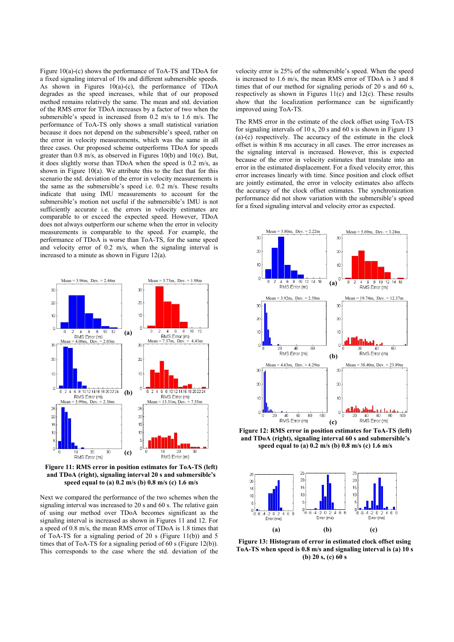Figure 10(a)-(c) shows the performance of ToA-TS and TDoA for a fixed signaling interval of 10s and different submersible speeds. As shown in Figures 10(a)-(c), the performance of TDoA degrades as the speed increases, while that of our proposed method remains relatively the same. The mean and std. deviation of the RMS error for TDoA increases by a factor of two when the submersible's speed is increased from 0.2 m/s to 1.6 m/s. The performance of ToA-TS only shows a small statistical variation because it does not depend on the submersible's speed, rather on the error in velocity measurements, which was the same in all three cases. Our proposed scheme outperforms TDoA for speeds greater than 0.8 m/s, as observed in Figures 10(b) and 10(c). But, it does slightly worse than TDoA when the speed is 0.2 m/s, as shown in Figure 10(a). We attribute this to the fact that for this scenario the std. deviation of the error in velocity measurements is the same as the submersible's speed i.e. 0.2 m/s. These results indicate that using IMU measurements to account for the submersible's motion not useful if the submersible's IMU is not sufficiently accurate i.e. the errors in velocity estimates are comparable to or exceed the expected speed. However, TDoA does not always outperform our scheme when the error in velocity measurements is comparable to the speed. For example, the performance of TDoA is worse than ToA-TS, for the same speed and velocity error of 0.2 m/s, when the signaling interval is increased to a minute as shown in Figure 12(a).



**Figure 11: RMS error in position estimates for ToA-TS (left) and TDoA (right), signaling interval 20 s and submersible's speed equal to (a) 0.2 m/s (b) 0.8 m/s (c) 1.6 m/s** 

Next we compared the performance of the two schemes when the signaling interval was increased to 20 s and 60 s. The relative gain of using our method over TDoA becomes significant as the signaling interval is increased as shown in Figures 11 and 12. For a speed of 0.8 m/s, the mean RMS error of TDoA is 1.8 times that of ToA-TS for a signaling period of 20 s (Figure 11(b)) and 5 times that of ToA-TS for a signaling period of 60 s (Figure 12(b)). This corresponds to the case where the std. deviation of the

velocity error is 25% of the submersible's speed. When the speed is increased to 1.6 m/s, the mean RMS error of TDoA is 3 and 8 times that of our method for signaling periods of 20 s and 60 s, respectively as shown in Figures 11(c) and 12(c). These results show that the localization performance can be significantly improved using ToA-TS.

The RMS error in the estimate of the clock offset using ToA-TS for signaling intervals of 10 s, 20 s and 60 s is shown in Figure 13 (a)-(c) respectively. The accuracy of the estimate in the clock offset is within 8 ms accuracy in all cases. The error increases as the signaling interval is increased. However, this is expected because of the error in velocity estimates that translate into an error in the estimated displacement. For a fixed velocity error, this error increases linearly with time. Since position and clock offset are jointly estimated, the error in velocity estimates also affects the accuracy of the clock offset estimates. The synchronization performance did not show variation with the submersible's speed for a fixed signaling interval and velocity error as expected.



**Figure 12: RMS error in position estimates for ToA-TS (left) and TDoA (right), signaling interval 60 s and submersible's speed equal to (a) 0.2 m/s (b) 0.8 m/s (c) 1.6 m/s** 



**Figure 13: Histogram of error in estimated clock offset using ToA-TS when speed is 0.8 m/s and signaling interval is (a) 10 s (b) 20 s, (c) 60 s**